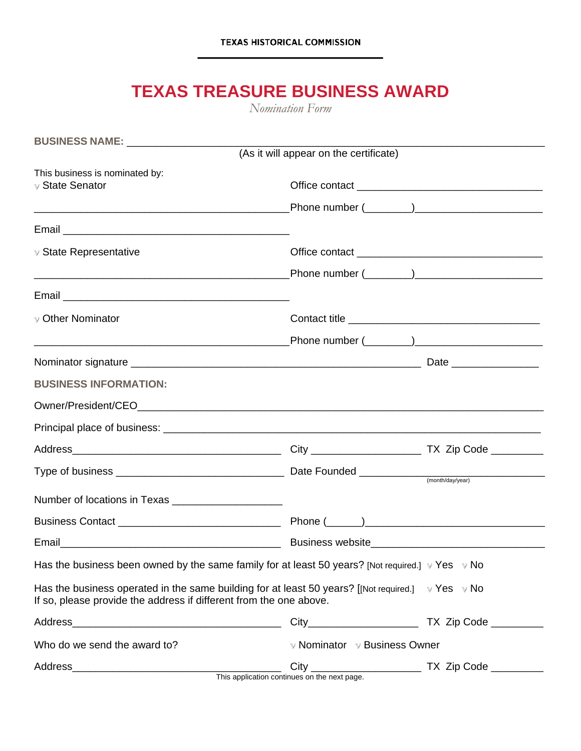## **TEXAS TREASURE BUSINESS AWARD**

*Nomination Form* 

| <b>BUSINESS NAME:</b> ____________________                                                                                                                                                                                                                       |                                        |  |
|------------------------------------------------------------------------------------------------------------------------------------------------------------------------------------------------------------------------------------------------------------------|----------------------------------------|--|
|                                                                                                                                                                                                                                                                  | (As it will appear on the certificate) |  |
| This business is nominated by:                                                                                                                                                                                                                                   |                                        |  |
| <b>v State Senator</b>                                                                                                                                                                                                                                           |                                        |  |
|                                                                                                                                                                                                                                                                  |                                        |  |
|                                                                                                                                                                                                                                                                  |                                        |  |
| <b>v State Representative</b><br><u> 1989 - Jan James James James James James James James James James James James James James James James James J</u>                                                                                                            |                                        |  |
|                                                                                                                                                                                                                                                                  |                                        |  |
|                                                                                                                                                                                                                                                                  |                                        |  |
| <b>v</b> Other Nominator<br><u>Denote and the property of the contract of the contract of the contract of the contract of the contract of the contract of the contract of the contract of the contract of the contract of the contract of the contract of th</u> |                                        |  |
|                                                                                                                                                                                                                                                                  |                                        |  |
|                                                                                                                                                                                                                                                                  |                                        |  |
| <b>BUSINESS INFORMATION:</b>                                                                                                                                                                                                                                     |                                        |  |
|                                                                                                                                                                                                                                                                  |                                        |  |
|                                                                                                                                                                                                                                                                  |                                        |  |
|                                                                                                                                                                                                                                                                  |                                        |  |
|                                                                                                                                                                                                                                                                  |                                        |  |
| Number of locations in Texas _______________________                                                                                                                                                                                                             |                                        |  |
|                                                                                                                                                                                                                                                                  |                                        |  |
| Email                                                                                                                                                                                                                                                            |                                        |  |
| Has the business been owned by the same family for at least 50 years? [Not required.] $\vee$ Yes $\vee$ No                                                                                                                                                       |                                        |  |
| Has the business operated in the same building for at least 50 years? [[Not required.] $\sqrt{v}$ Yes $\sqrt{v}$ No<br>If so, please provide the address if different from the one above.                                                                        |                                        |  |
|                                                                                                                                                                                                                                                                  |                                        |  |
| Who do we send the award to?                                                                                                                                                                                                                                     | v Nominator v Business Owner           |  |
|                                                                                                                                                                                                                                                                  |                                        |  |

This application continues on the next page.